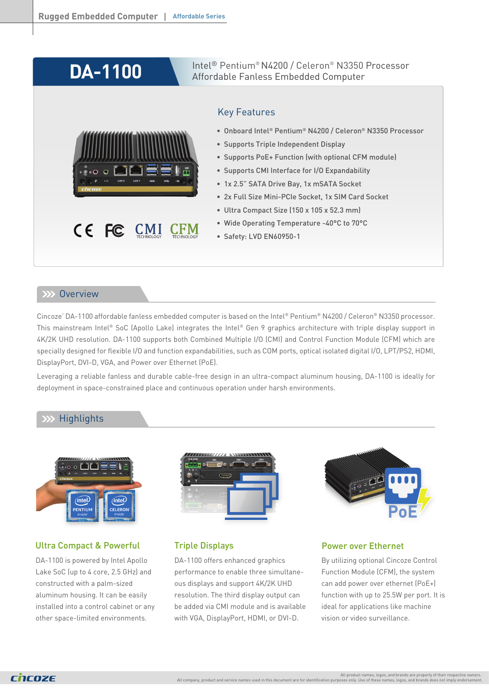# **DA-1100**

Intel® Pentium® N4200 / Celeron® N3350 Processor Affordable Fanless Embedded Computer



### Key Features

- Onboard Intel® Pentium® N4200 / Celeron® N3350 Processor
- Supports Triple Independent Display
- Supports PoE+ Function (with optional CFM module)
- Supports CMI Interface for I/O Expandability
- 1x 2.5" SATA Drive Bay, 1x mSATA Socket
- 2x Full Size Mini-PCIe Socket, 1x SIM Card Socket
- Ultra Compact Size (150 x 105 x 52.3 mm)
- Wide Operating Temperature -40°C to 70°C
- Safety: LVD EN60950-1

### $\rightarrow$  Dverview

Cincoze' DA-1100 affordable fanless embedded computer is based on the Intel® Pentium® N4200 / Celeron® N3350 processor. This mainstream Intel® SoC (Apollo Lake) integrates the Intel® Gen 9 graphics architecture with triple display support in 4K/2K UHD resolution. DA-1100 supports both Combined Multiple I/O (CMI) and Control Function Module (CFM) which are specially designed for flexible I/O and function expandabilities, such as COM ports, optical isolated digital I/O, LPT/PS2, HDMI, DisplayPort, DVI-D, VGA, and Power over Ethernet (PoE).

Leveraging a reliable fanless and durable cable-free design in an ultra-compact aluminum housing, DA-1100 is ideally for deployment in space-constrained place and continuous operation under harsh environments.

### **Highlights**



### Ultra Compact & Powerful

DA-1100 is powered by Intel Apollo Lake SoC (up to 4 core, 2.5 GHz) and constructed with a palm-sized aluminum housing. It can be easily installed into a control cabinet or any other space-limited environments.



### Triple Displays

DA-1100 offers enhanced graphics performance to enable three simultaneous displays and support 4K/2K UHD resolution. The third display output can be added via CMI module and is available with VGA, DisplayPort, HDMI, or DVI-D.



#### Power over Ethernet

By utilizing optional Cincoze Control Function Module (CFM), the system can add power over ethernet (PoE+) function with up to 25.5W per port. It is ideal for applications like machine vision or video surveillance.

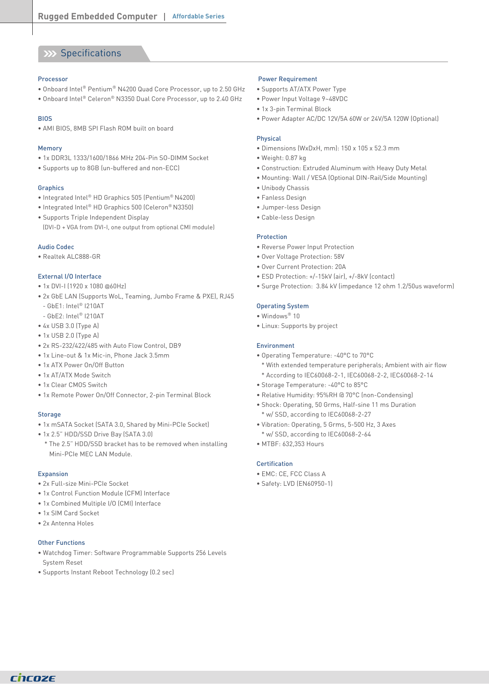### XX Specifications

#### Processor

- Onboard Intel® Pentium® N4200 Quad Core Processor, up to 2.50 GHz
- Onboard Intel® Celeron® N3350 Dual Core Processor, up to 2.40 GHz

#### BIOS

• AMI BIOS, 8MB SPI Flash ROM built on board

#### Memory

- 1x DDR3L 1333/1600/1866 MHz 204-Pin SO-DIMM Socket
- Supports up to 8GB (un-buffered and non-ECC)

#### **Graphics**

- Integrated Intel® HD Graphics 505 (Pentium® N4200)
- Integrated Intel® HD Graphics 500 (Celeron® N3350)
- Supports Triple Independent Display (DVI-D + VGA from DVI-I, one output from optional CMI module)

#### Audio Codec

• Realtek ALC888-GR

#### External I/O Interface

- 1x DVI-I (1920 x 1080 @60Hz)
- 2x GbE LAN (Supports WoL, Teaming, Jumbo Frame & PXE), RJ45 - GbE1: Intel® I210AT
- GbE2: Intel® I210AT
- 4x USB 3.0 (Type A)
- 1x USB 2.0 (Type A)
- 2x RS-232/422/485 with Auto Flow Control, DB9
- 1x Line-out & 1x Mic-in, Phone Jack 3.5mm
- 1x ATX Power On/Off Button
- 1x AT/ATX Mode Switch
- 1x Clear CMOS Switch
- 1x Remote Power On/Off Connector, 2-pin Terminal Block

#### **Storage**

- 1x mSATA Socket (SATA 3.0, Shared by Mini-PCIe Socket)
- 1x 2.5" HDD/SSD Drive Bay (SATA 3.0)
- \* The 2.5" HDD/SSD bracket has to be removed when installing Mini-PCIe MEC LAN Module.

#### Expansion

- 2x Full-size Mini-PCIe Socket
- 1x Control Function Module (CFM) Interface
- 1x Combined Multiple I/O (CMI) Interface
- 1x SIM Card Socket
- 2x Antenna Holes

#### Other Functions

- Watchdog Timer: Software Programmable Supports 256 Levels System Reset
- Supports Instant Reboot Technology (0.2 sec)

#### Power Requirement

- Supports AT/ATX Power Type
- Power Input Voltage 9~48VDC
- 1x 3-pin Terminal Block
- Power Adapter AC/DC 12V/5A 60W or 24V/5A 120W (Optional)

#### Physical

- Dimensions (WxDxH, mm): 150 x 105 x 52.3 mm
- Weight: 0.87 kg
- Construction: Extruded Aluminum with Heavy Duty Metal
- Mounting: Wall / VESA (Optional DIN-Rail/Side Mounting)
- Unibody Chassis
- Fanless Design
- Jumper-less Design
- Cable-less Design

#### Protection

- Reverse Power Input Protection
- Over Voltage Protection: 58V
- Over Current Protection: 20A
- ESD Protection: +/-15kV (air), +/-8kV (contact)
- Surge Protection: 3.84 kV (impedance 12 ohm 1.2/50us waveform)

#### Operating System

- Windows® 10
- Linux: Supports by project

#### Environment

- Operating Temperature: -40°C to 70°C
- \* With extended temperature peripherals; Ambient with air flow \* According to IEC60068-2-1, IEC60068-2-2, IEC60068-2-14
- Storage Temperature: -40°C to 85°C
- Relative Humidity: 95%RH @ 70°C (non-Condensing)
- Shock: Operating, 50 Grms, Half-sine 11 ms Duration \* w/ SSD, according to IEC60068-2-27
- Vibration: Operating, 5 Grms, 5-500 Hz, 3 Axes \* w/ SSD, according to IEC60068-2-64
- MTBF: 632,353 Hours

#### Certification

- EMC: CE, FCC Class A
- Safety: LVD (EN60950-1)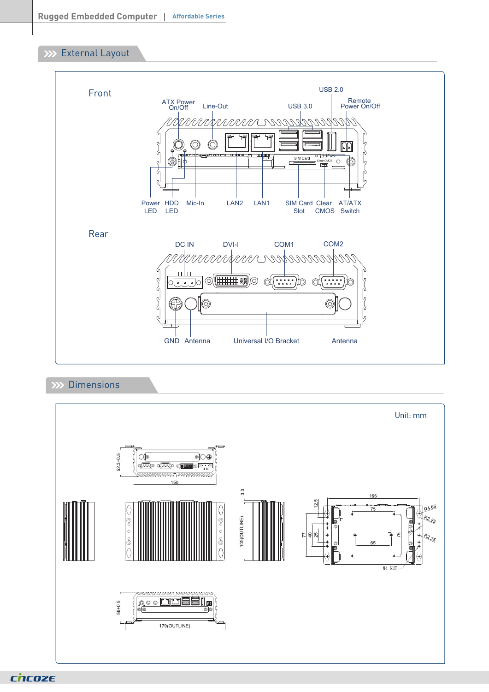### **XXX** External Layout



### **XX Dimensions**



chcoze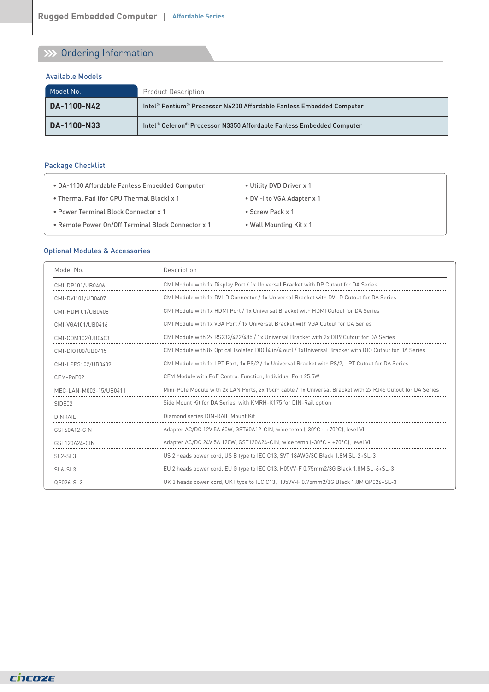# **W** Ordering Information

#### Available Models

| Model No.   | <b>Product Description</b>                                           |
|-------------|----------------------------------------------------------------------|
| DA-1100-N42 | Intel® Pentium® Processor N4200 Affordable Fanless Embedded Computer |
| DA-1100-N33 | Intel® Celeron® Processor N3350 Affordable Fanless Embedded Computer |

### Package Checklist

| • DA-1100 Affordable Fanless Embedded Computer     | • Utility DVD Driver x 1   |
|----------------------------------------------------|----------------------------|
| • Thermal Pad (for CPU Thermal Block) x 1          | • DVI-I to VGA Adapter x 1 |
| • Power Terminal Block Connector x 1               | • Screw Pack x 1           |
| • Remote Power On/Off Terminal Block Connector x 1 | • Wall Mounting Kit x 1    |

### Optional Modules & Accessories

| Model No.              | Description                                                                                                |
|------------------------|------------------------------------------------------------------------------------------------------------|
| CMI-DP101/UB0406       | CMI Module with 1x Display Port / 1x Universal Bracket with DP Cutout for DA Series                        |
| CMI-DVI101/UB0407      | CMI Module with 1x DVI-D Connector / 1x Universal Bracket with DVI-D Cutout for DA Series                  |
| CMI-HDMI01/UB0408      | CMI Module with 1x HDMI Port / 1x Universal Bracket with HDMI Cutout for DA Series                         |
| CMI-VGA101/UB0416      | CMI Module with 1x VGA Port / 1x Universal Bracket with VGA Cutout for DA Series                           |
| CMI-COM102/UB0403      | CMI Module with 2x RS232/422/485 / 1x Universal Bracket with 2x DB9 Cutout for DA Series                   |
| CMI-DI0100/UB0415      | CMI Module with 8x Optical Isolated DIO [4 in/4 out] / 1xUniversal Bracket with DIO Cutout for DA Series   |
| CMI-LPPS102/UB0409     | CMI Module with 1x LPT Port, 1x PS/2 / 1x Universal Bracket with PS/2, LPT Cutout for DA Series            |
| CFM-PoE02              | CFM Module with PoE Control Function, Individual Port 25.5W                                                |
| MEC-LAN-M002-15/UB0411 | Mini-PCIe Module with 2x LAN Ports, 2x 15cm cable / 1x Universal Bracket with 2x RJ45 Cutout for DA Series |
| SIDE <sub>02</sub>     | Side Mount Kit for DA Series, with KMRH-K175 for DIN-Rail option                                           |
| <b>DINRAIL</b>         | Diamond series DIN-RAIL Mount Kit                                                                          |
| GST60A12-CIN           | Adapter AC/DC 12V 5A 60W, GST60A12-CIN, wide temp $(-30^{\circ}C - +70^{\circ}C)$ , level VI               |
| GST120A24-CIN          | Adapter AC/DC 24V 5A 120W, GST120A24-CIN, wide temp $(-30^{\circ}C - +70^{\circ}C)$ , level VI             |
| $SI$ 2-SL3             | US 2 heads power cord, US B type to IEC C13, SVT 18AWG/3C Black 1.8M SL-2+SL-3                             |
| $SI 6-SI 3$            | EU 2 heads power cord, EU G type to IEC C13, H05VV-F 0.75mm2/3G Black 1.8M SL-6+SL-3                       |
| QP026-SL3              | UK 2 heads power cord, UK I type to IEC C13, H05VV-F 0.75mm2/3G Black 1.8M QP026+SL-3                      |